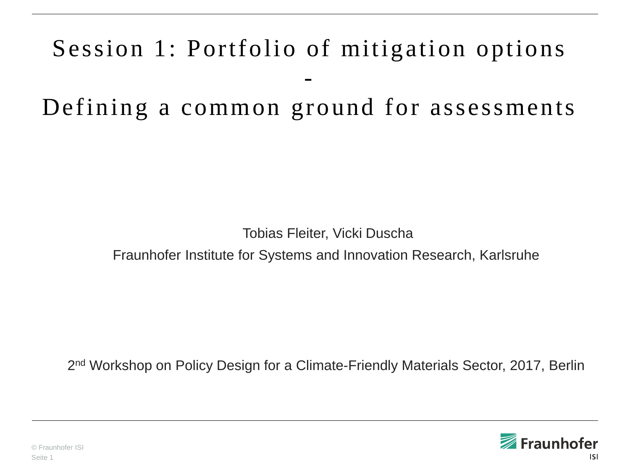# Session 1: Portfolio of mitigation options - Defining a common ground for assessments

Tobias Fleiter, Vicki Duscha

Fraunhofer Institute for Systems and Innovation Research, Karlsruhe

2<sup>nd</sup> Workshop on Policy Design for a Climate-Friendly Materials Sector, 2017, Berlin

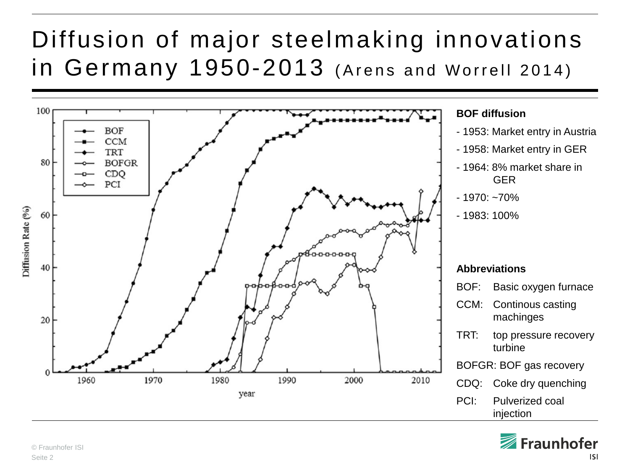#### Diffusion of major steelmaking innovations in Germany 1950-2013 (Arens and Worrell 2014)



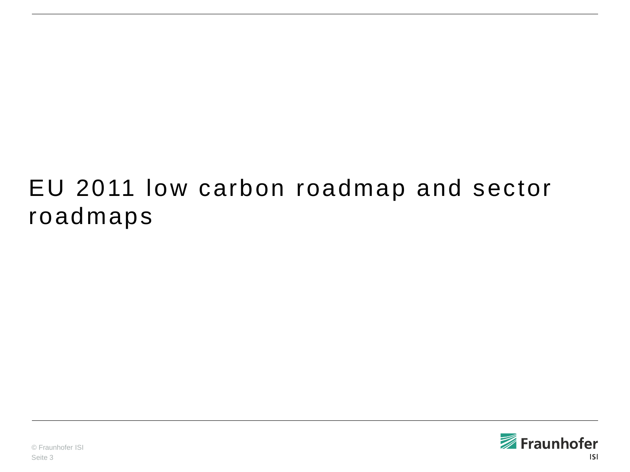#### EU 2011 low carbon roadmap and sector roadmaps

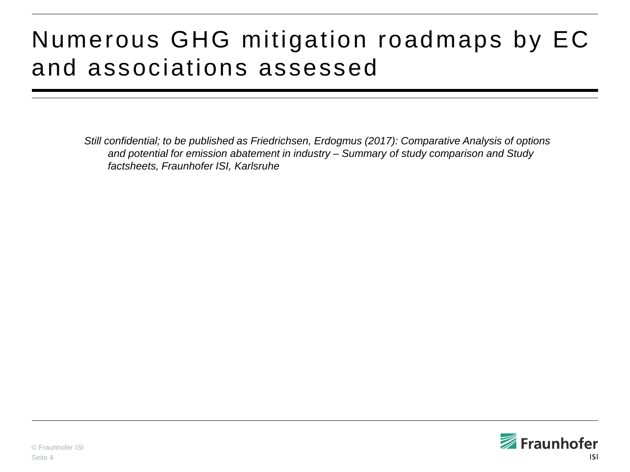### Numerous GHG mitigation roadmaps by EC and associations assessed

*Still confidential; to be published as Friedrichsen, Erdogmus (2017): Comparative Analysis of options and potential for emission abatement in industry – Summary of study comparison and Study factsheets, Fraunhofer ISI, Karlsruhe*

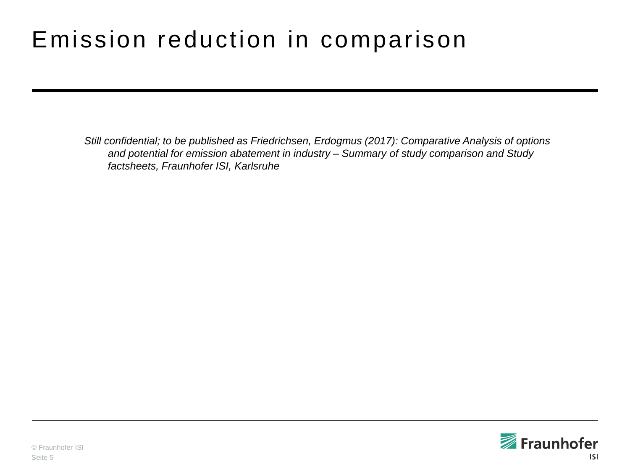#### Emission reduction in comparison

*Still confidential; to be published as Friedrichsen, Erdogmus (2017): Comparative Analysis of options and potential for emission abatement in industry – Summary of study comparison and Study factsheets, Fraunhofer ISI, Karlsruhe*

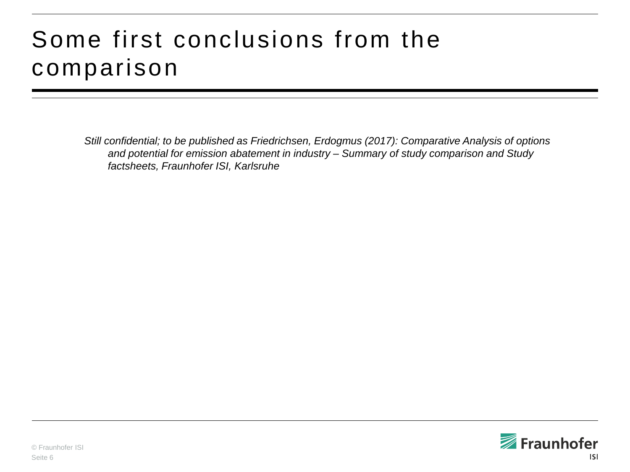#### Some first conclusions from the comparison

*Still confidential; to be published as Friedrichsen, Erdogmus (2017): Comparative Analysis of options and potential for emission abatement in industry – Summary of study comparison and Study factsheets, Fraunhofer ISI, Karlsruhe*

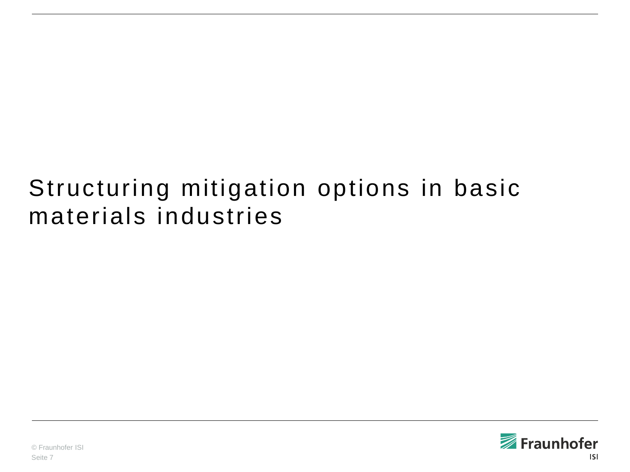#### Structuring mitigation options in basic materials industries

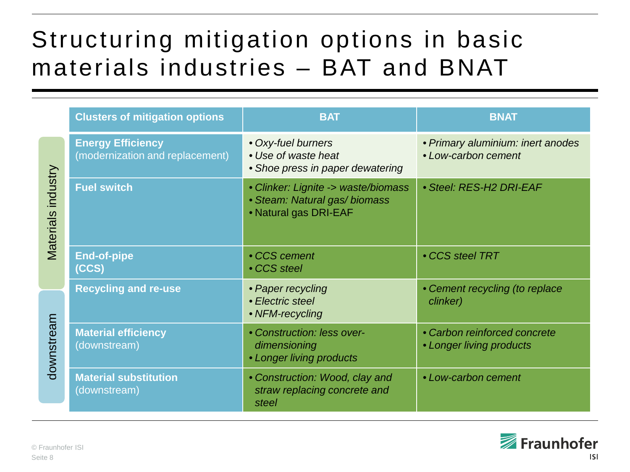#### Structuring mitigation options in basic materials industries – BAT and BNAT

|                    | <b>Clusters of mitigation options</b>                       | <b>BAT</b>                                                                                    | <b>BNAT</b>                                              |
|--------------------|-------------------------------------------------------------|-----------------------------------------------------------------------------------------------|----------------------------------------------------------|
| Materials industry | <b>Energy Efficiency</b><br>(modernization and replacement) | • Oxy-fuel burners<br>• Use of waste heat<br>• Shoe press in paper dewatering                 | • Primary aluminium: inert anodes<br>• Low-carbon cement |
|                    | <b>Fuel switch</b>                                          | • Clinker: Lignite -> waste/biomass<br>• Steam: Natural gas/ biomass<br>• Natural gas DRI-EAF | • Steel: RES-H2 DRI-EAF                                  |
|                    | <b>End-of-pipe</b><br>(CCS)                                 | • CCS cement<br>• CCS steel                                                                   | • CCS steel TRT                                          |
| downstream         | <b>Recycling and re-use</b>                                 | • Paper recycling<br>• Electric steel<br>• NFM-recycling                                      | • Cement recycling (to replace<br>clinker)               |
|                    | <b>Material efficiency</b><br>(downstream)                  | • Construction: less over-<br>dimensioning<br>• Longer living products                        | • Carbon reinforced concrete<br>• Longer living products |
|                    | <b>Material substitution</b><br>(downstream)                | • Construction: Wood, clay and<br>straw replacing concrete and<br>steel                       | • Low-carbon cement                                      |

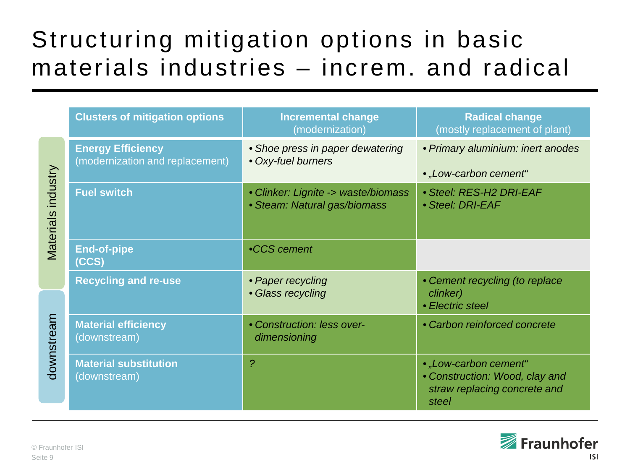### Structuring mitigation options in basic materials industries – increm. and radical

|                                     | <b>Clusters of mitigation options</b>                       | <b>Incremental change</b><br>(modernization)                        | <b>Radical change</b><br>(mostly replacement of plant)                                           |
|-------------------------------------|-------------------------------------------------------------|---------------------------------------------------------------------|--------------------------------------------------------------------------------------------------|
| industry<br>Materials<br>downstream | <b>Energy Efficiency</b><br>(modernization and replacement) | • Shoe press in paper dewatering<br>• Oxy-fuel burners              | • Primary aluminium: inert anodes<br>• "Low-carbon cement"                                       |
|                                     | <b>Fuel switch</b>                                          | • Clinker: Lignite -> waste/biomass<br>• Steam: Natural gas/biomass | • Steel: RES-H2 DRI-EAF<br>• Steel: DRI-EAF                                                      |
|                                     | <b>End-of-pipe</b><br>(CCS)                                 | •CCS cement                                                         |                                                                                                  |
|                                     | <b>Recycling and re-use</b>                                 | • Paper recycling<br>• Glass recycling                              | • Cement recycling (to replace<br>clinker)<br>• Electric steel                                   |
|                                     | <b>Material efficiency</b><br>(downstream)                  | • Construction: less over-<br>dimensioning                          | • Carbon reinforced concrete                                                                     |
|                                     | <b>Material substitution</b><br>(downstream)                | $\overline{\mathcal{P}}$                                            | • "Low-carbon cement"<br>• Construction: Wood, clay and<br>straw replacing concrete and<br>steel |

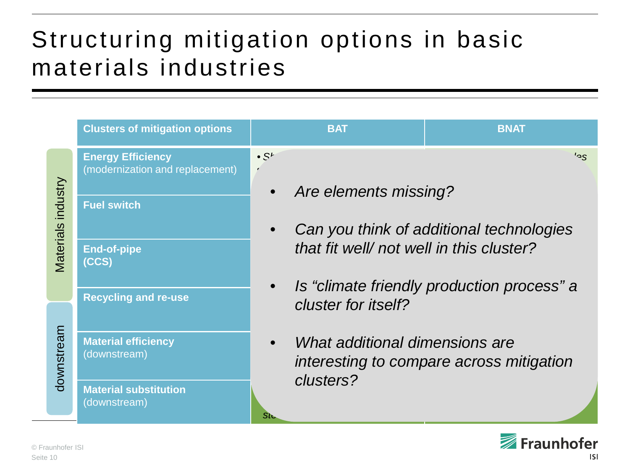#### Structuring mitigation options in basic materials industries

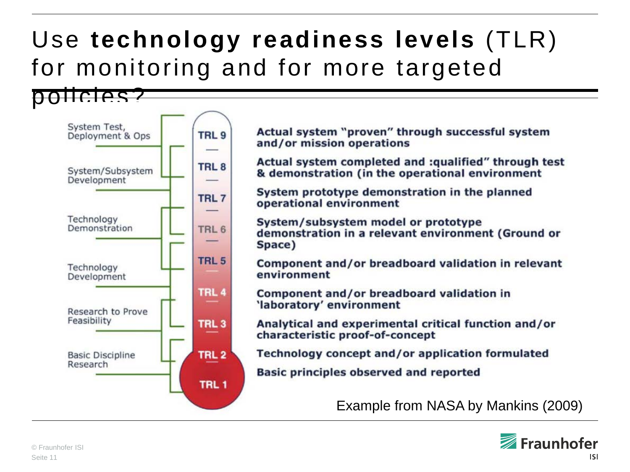# Use **technology readiness levels** (TLR) for monitoring and for more targeted



Actual system "proven" through successful system and/or mission operations

Actual system completed and :qualified" through test & demonstration (in the operational environment

System prototype demonstration in the planned operational environment

System/subsystem model or prototype demonstration in a relevant environment (Ground or Space)

Component and/or breadboard validation in relevant environment

Component and/or breadboard validation in 'laboratory' environment

Analytical and experimental critical function and/or characteristic proof-of-concept

Technology concept and/or application formulated

**Basic principles observed and reported** 

Example from NASA by Mankins (2009)

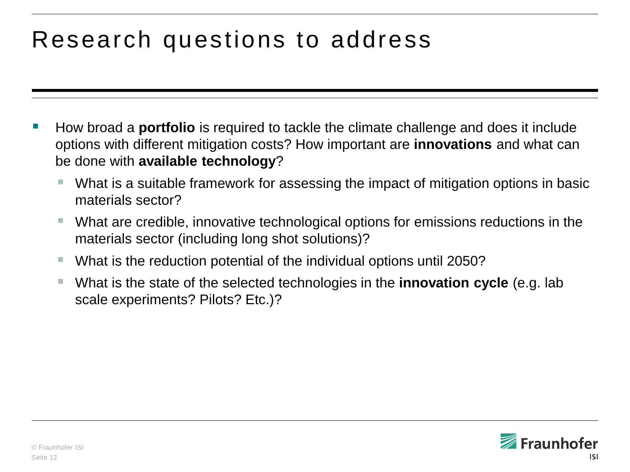### Research questions to address

- How broad a **portfolio** is required to tackle the climate challenge and does it include options with different mitigation costs? How important are **innovations** and what can be done with **available technology**?
	- What is a suitable framework for assessing the impact of mitigation options in basic materials sector?
	- What are credible, innovative technological options for emissions reductions in the materials sector (including long shot solutions)?
	- What is the reduction potential of the individual options until 2050?
	- What is the state of the selected technologies in the **innovation cycle** (e.g. lab scale experiments? Pilots? Etc.)?

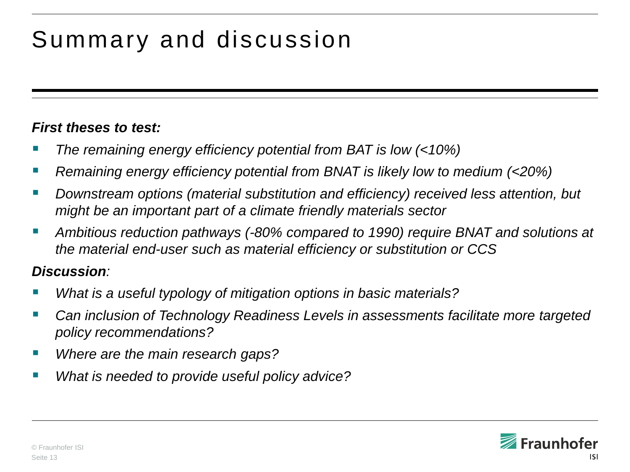# Summary and discussion

#### *First theses to test:*

- *The remaining energy efficiency potential from BAT is low (<10%)*
- *Remaining energy efficiency potential from BNAT is likely low to medium (<20%)*
- *Downstream options (material substitution and efficiency) received less attention, but might be an important part of a climate friendly materials sector*
- *Ambitious reduction pathways (-80% compared to 1990) require BNAT and solutions at the material end-user such as material efficiency or substitution or CCS*

#### *Discussion:*

- *What is a useful typology of mitigation options in basic materials?*
- *Can inclusion of Technology Readiness Levels in assessments facilitate more targeted policy recommendations?*
- *Where are the main research gaps?*
- *What is needed to provide useful policy advice?*